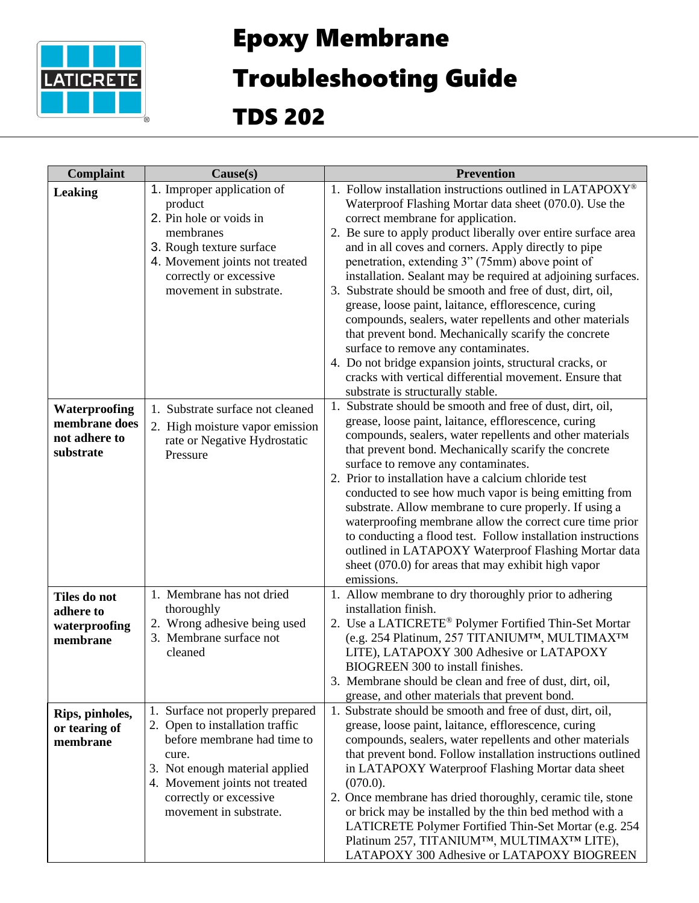

## Epoxy Membrane

## Troubleshooting Guide

TDS 202

| <b>Complaint</b>                                             | $\text{Cause}(s)$                                                                                                                                                                                                                      | <b>Prevention</b>                                                                                                                                                                                                                                                                                                                                                                                                                                                                                                                                                                                                                                                                                                                                                                                                                                  |
|--------------------------------------------------------------|----------------------------------------------------------------------------------------------------------------------------------------------------------------------------------------------------------------------------------------|----------------------------------------------------------------------------------------------------------------------------------------------------------------------------------------------------------------------------------------------------------------------------------------------------------------------------------------------------------------------------------------------------------------------------------------------------------------------------------------------------------------------------------------------------------------------------------------------------------------------------------------------------------------------------------------------------------------------------------------------------------------------------------------------------------------------------------------------------|
| <b>Leaking</b>                                               | 1. Improper application of<br>product<br>2. Pin hole or voids in<br>membranes<br>3. Rough texture surface<br>4. Movement joints not treated<br>correctly or excessive<br>movement in substrate.                                        | 1. Follow installation instructions outlined in LATAPOXY®<br>Waterproof Flashing Mortar data sheet (070.0). Use the<br>correct membrane for application.<br>2. Be sure to apply product liberally over entire surface area<br>and in all coves and corners. Apply directly to pipe<br>penetration, extending 3" (75mm) above point of<br>installation. Sealant may be required at adjoining surfaces.<br>3. Substrate should be smooth and free of dust, dirt, oil,<br>grease, loose paint, laitance, efflorescence, curing<br>compounds, sealers, water repellents and other materials<br>that prevent bond. Mechanically scarify the concrete<br>surface to remove any contaminates.<br>4. Do not bridge expansion joints, structural cracks, or<br>cracks with vertical differential movement. Ensure that<br>substrate is structurally stable. |
| Waterproofing<br>membrane does<br>not adhere to<br>substrate | 1. Substrate surface not cleaned<br>2. High moisture vapor emission<br>rate or Negative Hydrostatic<br>Pressure                                                                                                                        | 1. Substrate should be smooth and free of dust, dirt, oil,<br>grease, loose paint, laitance, efflorescence, curing<br>compounds, sealers, water repellents and other materials<br>that prevent bond. Mechanically scarify the concrete<br>surface to remove any contaminates.<br>2. Prior to installation have a calcium chloride test<br>conducted to see how much vapor is being emitting from<br>substrate. Allow membrane to cure properly. If using a<br>waterproofing membrane allow the correct cure time prior<br>to conducting a flood test. Follow installation instructions<br>outlined in LATAPOXY Waterproof Flashing Mortar data<br>sheet (070.0) for areas that may exhibit high vapor<br>emissions.                                                                                                                                |
| Tiles do not<br>adhere to<br>waterproofing<br>membrane       | 1. Membrane has not dried<br>thoroughly<br>2. Wrong adhesive being used<br>3. Membrane surface not<br>cleaned                                                                                                                          | 1. Allow membrane to dry thoroughly prior to adhering<br>installation finish.<br>2. Use a LATICRETE® Polymer Fortified Thin-Set Mortar<br>(e.g. 254 Platinum, 257 TITANIUMTM, MULTIMAXTM<br>LITE), LATAPOXY 300 Adhesive or LATAPOXY<br>BIOGREEN 300 to install finishes.<br>3. Membrane should be clean and free of dust, dirt, oil,<br>grease, and other materials that prevent bond.                                                                                                                                                                                                                                                                                                                                                                                                                                                            |
| Rips, pinholes,<br>or tearing of<br>membrane                 | Surface not properly prepared<br>1.<br>2. Open to installation traffic<br>before membrane had time to<br>cure.<br>3. Not enough material applied<br>4. Movement joints not treated<br>correctly or excessive<br>movement in substrate. | 1. Substrate should be smooth and free of dust, dirt, oil,<br>grease, loose paint, laitance, efflorescence, curing<br>compounds, sealers, water repellents and other materials<br>that prevent bond. Follow installation instructions outlined<br>in LATAPOXY Waterproof Flashing Mortar data sheet<br>$(070.0)$ .<br>2. Once membrane has dried thoroughly, ceramic tile, stone<br>or brick may be installed by the thin bed method with a<br>LATICRETE Polymer Fortified Thin-Set Mortar (e.g. 254<br>Platinum 257, TITANIUMTM, MULTIMAXTM LITE),<br>LATAPOXY 300 Adhesive or LATAPOXY BIOGREEN                                                                                                                                                                                                                                                  |